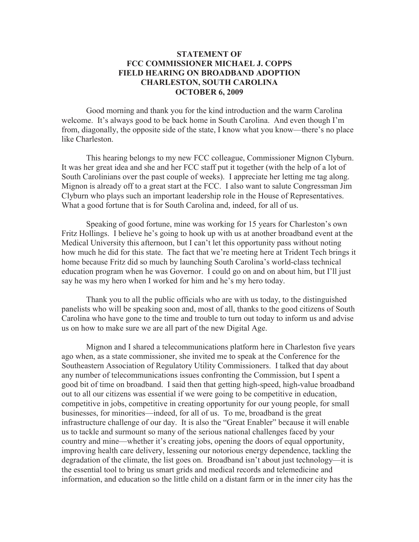## **STATEMENT OF FCC COMMISSIONER MICHAEL J. COPPS FIELD HEARING ON BROADBAND ADOPTION CHARLESTON, SOUTH CAROLINA OCTOBER 6, 2009**

Good morning and thank you for the kind introduction and the warm Carolina welcome. It's always good to be back home in South Carolina. And even though I'm from, diagonally, the opposite side of the state, I know what you know—there's no place like Charleston.

This hearing belongs to my new FCC colleague, Commissioner Mignon Clyburn. It was her great idea and she and her FCC staff put it together (with the help of a lot of South Carolinians over the past couple of weeks). I appreciate her letting me tag along. Mignon is already off to a great start at the FCC. I also want to salute Congressman Jim Clyburn who plays such an important leadership role in the House of Representatives. What a good fortune that is for South Carolina and, indeed, for all of us.

Speaking of good fortune, mine was working for 15 years for Charleston's own Fritz Hollings. I believe he's going to hook up with us at another broadband event at the Medical University this afternoon, but I can't let this opportunity pass without noting how much he did for this state. The fact that we're meeting here at Trident Tech brings it home because Fritz did so much by launching South Carolina's world-class technical education program when he was Governor. I could go on and on about him, but I'll just say he was my hero when I worked for him and he's my hero today.

Thank you to all the public officials who are with us today, to the distinguished panelists who will be speaking soon and, most of all, thanks to the good citizens of South Carolina who have gone to the time and trouble to turn out today to inform us and advise us on how to make sure we are all part of the new Digital Age.

Mignon and I shared a telecommunications platform here in Charleston five years ago when, as a state commissioner, she invited me to speak at the Conference for the Southeastern Association of Regulatory Utility Commissioners. I talked that day about any number of telecommunications issues confronting the Commission, but I spent a good bit of time on broadband. I said then that getting high-speed, high-value broadband out to all our citizens was essential if we were going to be competitive in education, competitive in jobs, competitive in creating opportunity for our young people, for small businesses, for minorities—indeed, for all of us. To me, broadband is the great infrastructure challenge of our day. It is also the "Great Enabler" because it will enable us to tackle and surmount so many of the serious national challenges faced by your country and mine—whether it's creating jobs, opening the doors of equal opportunity, improving health care delivery, lessening our notorious energy dependence, tackling the degradation of the climate, the list goes on. Broadband isn't about just technology—it is the essential tool to bring us smart grids and medical records and telemedicine and information, and education so the little child on a distant farm or in the inner city has the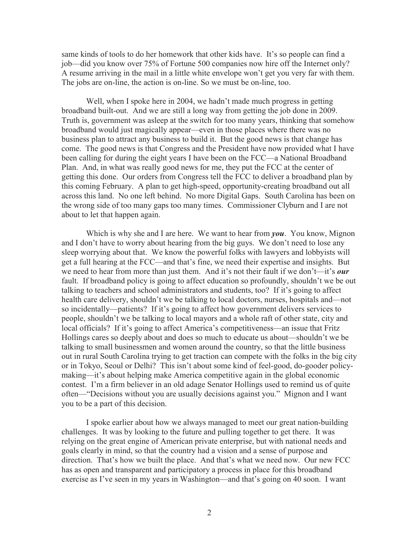same kinds of tools to do her homework that other kids have. It's so people can find a job—did you know over 75% of Fortune 500 companies now hire off the Internet only? A resume arriving in the mail in a little white envelope won't get you very far with them. The jobs are on-line, the action is on-line. So we must be on-line, too.

Well, when I spoke here in 2004, we hadn't made much progress in getting broadband built-out. And we are still a long way from getting the job done in 2009. Truth is, government was asleep at the switch for too many years, thinking that somehow broadband would just magically appear—even in those places where there was no business plan to attract any business to build it. But the good news is that change has come. The good news is that Congress and the President have now provided what I have been calling for during the eight years I have been on the FCC—a National Broadband Plan. And, in what was really good news for me, they put the FCC at the center of getting this done. Our orders from Congress tell the FCC to deliver a broadband plan by this coming February. A plan to get high-speed, opportunity-creating broadband out all across this land. No one left behind. No more Digital Gaps. South Carolina has been on the wrong side of too many gaps too many times. Commissioner Clyburn and I are not about to let that happen again.

Which is why she and I are here. We want to hear from *you*. You know, Mignon and I don't have to worry about hearing from the big guys. We don't need to lose any sleep worrying about that. We know the powerful folks with lawyers and lobbyists will get a full hearing at the FCC—and that's fine, we need their expertise and insights. But we need to hear from more than just them. And it's not their fault if we don't—it's *our* fault. If broadband policy is going to affect education so profoundly, shouldn't we be out talking to teachers and school administrators and students, too? If it's going to affect health care delivery, shouldn't we be talking to local doctors, nurses, hospitals and—not so incidentally—patients? If it's going to affect how government delivers services to people, shouldn't we be talking to local mayors and a whole raft of other state, city and local officials? If it's going to affect America's competitiveness—an issue that Fritz Hollings cares so deeply about and does so much to educate us about—shouldn't we be talking to small businessmen and women around the country, so that the little business out in rural South Carolina trying to get traction can compete with the folks in the big city or in Tokyo, Seoul or Delhi? This isn't about some kind of feel-good, do-gooder policymaking—it's about helping make America competitive again in the global economic contest. I'm a firm believer in an old adage Senator Hollings used to remind us of quite often—"Decisions without you are usually decisions against you." Mignon and I want you to be a part of this decision.

I spoke earlier about how we always managed to meet our great nation-building challenges. It was by looking to the future and pulling together to get there. It was relying on the great engine of American private enterprise, but with national needs and goals clearly in mind, so that the country had a vision and a sense of purpose and direction. That's how we built the place. And that's what we need now. Our new FCC has as open and transparent and participatory a process in place for this broadband exercise as I've seen in my years in Washington—and that's going on 40 soon. I want